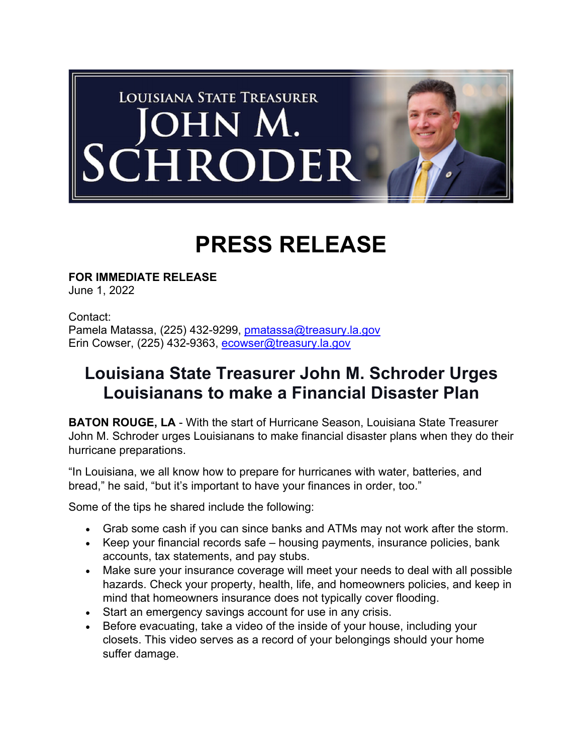

## **PRESS RELEASE**

**FOR IMMEDIATE RELEASE** June 1, 2022

Contact: Pamela Matassa, (225) 432-9299, pmatassa@treasury.la.gov Erin Cowser, (225) 432-9363, ecowser@treasury.la.gov

## **Louisiana State Treasurer John M. Schroder Urges Louisianans to make a Financial Disaster Plan**

**BATON ROUGE, LA** - With the start of Hurricane Season, Louisiana State Treasurer John M. Schroder urges Louisianans to make financial disaster plans when they do their hurricane preparations.

"In Louisiana, we all know how to prepare for hurricanes with water, batteries, and bread," he said, "but it's important to have your finances in order, too."

Some of the tips he shared include the following:

- Grab some cash if you can since banks and ATMs may not work after the storm.
- Keep your financial records safe housing payments, insurance policies, bank accounts, tax statements, and pay stubs.
- Make sure your insurance coverage will meet your needs to deal with all possible hazards. Check your property, health, life, and homeowners policies, and keep in mind that homeowners insurance does not typically cover flooding.
- Start an emergency savings account for use in any crisis.
- Before evacuating, take a video of the inside of your house, including your closets. This video serves as a record of your belongings should your home suffer damage.